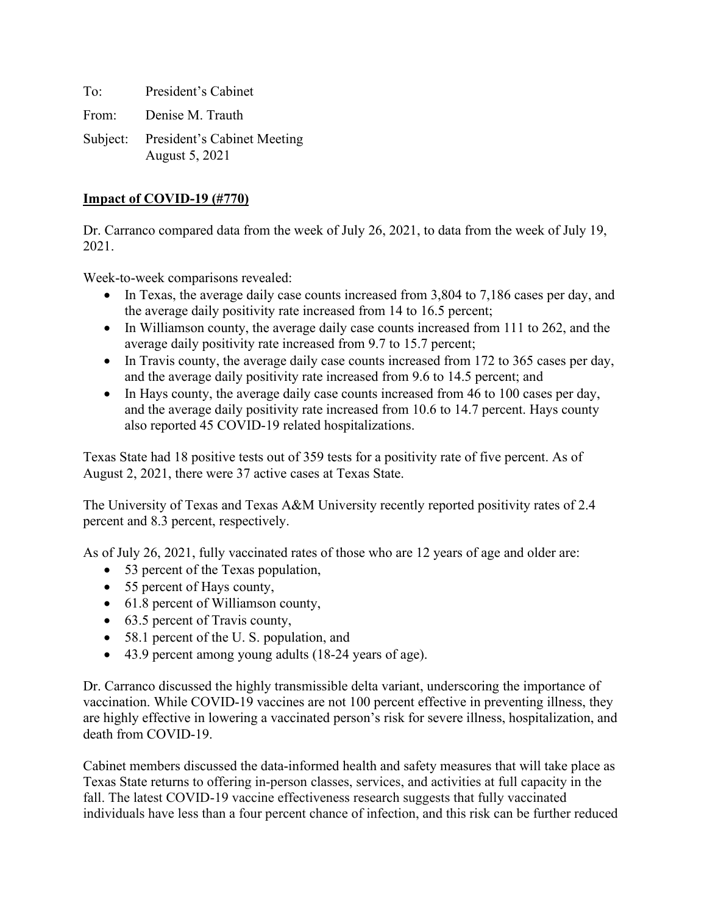To: President's Cabinet From: Denise M. Trauth Subject: President's Cabinet Meeting August 5, 2021

## **Impact of COVID-19 (#770)**

Dr. Carranco compared data from the week of July 26, 2021, to data from the week of July 19, 2021.

Week-to-week comparisons revealed:

- In Texas, the average daily case counts increased from 3,804 to 7,186 cases per day, and the average daily positivity rate increased from 14 to 16.5 percent;
- In Williamson county, the average daily case counts increased from 111 to 262, and the average daily positivity rate increased from 9.7 to 15.7 percent;
- In Travis county, the average daily case counts increased from 172 to 365 cases per day, and the average daily positivity rate increased from 9.6 to 14.5 percent; and
- In Hays county, the average daily case counts increased from 46 to 100 cases per day, and the average daily positivity rate increased from 10.6 to 14.7 percent. Hays county also reported 45 COVID-19 related hospitalizations.

Texas State had 18 positive tests out of 359 tests for a positivity rate of five percent. As of August 2, 2021, there were 37 active cases at Texas State.

The University of Texas and Texas A&M University recently reported positivity rates of 2.4 percent and 8.3 percent, respectively.

As of July 26, 2021, fully vaccinated rates of those who are 12 years of age and older are:

- 53 percent of the Texas population,
- 55 percent of Hays county,
- 61.8 percent of Williamson county,
- 63.5 percent of Travis county,
- 58.1 percent of the U.S. population, and
- 43.9 percent among young adults (18-24 years of age).

Dr. Carranco discussed the highly transmissible delta variant, underscoring the importance of vaccination. While COVID-19 vaccines are not 100 percent effective in preventing illness, they are highly effective in lowering a vaccinated person's risk for severe illness, hospitalization, and death from COVID-19.

Cabinet members discussed the data-informed health and safety measures that will take place as Texas State returns to offering in-person classes, services, and activities at full capacity in the fall. The latest COVID-19 vaccine effectiveness research suggests that fully vaccinated individuals have less than a four percent chance of infection, and this risk can be further reduced